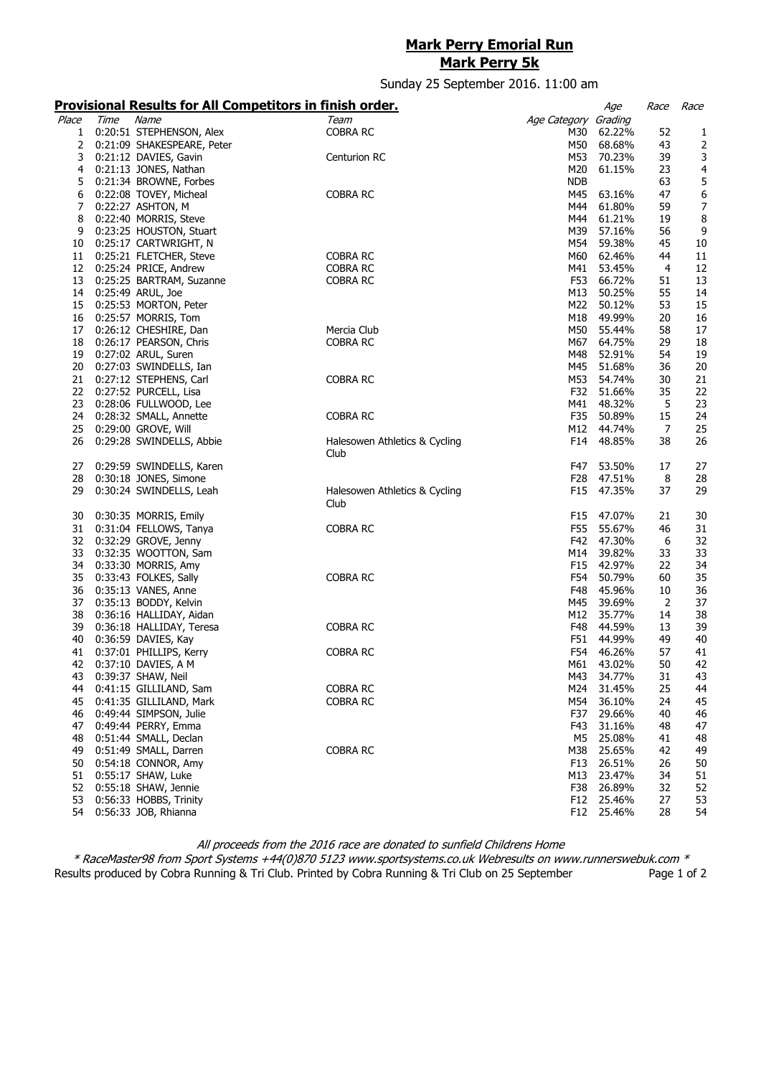## **Mark Perry Emorial Run**

## **Mark Perry 5k**

Sunday 25 September 2016. 11:00 am

|       |      |                             | <b>Provisional Results for All Competitors in finish order.</b> |                      | Age        | Race | Race           |
|-------|------|-----------------------------|-----------------------------------------------------------------|----------------------|------------|------|----------------|
| Place | Time | Name                        | Team                                                            | Age Category Grading |            |      |                |
| 1     |      | 0:20:51 STEPHENSON, Alex    | COBRA RC                                                        | M30                  | 62.22%     | 52   | 1              |
| 2     |      | 0:21:09 SHAKESPEARE, Peter  |                                                                 | M50                  | 68.68%     | 43   | 2              |
| 3     |      | 0:21:12 DAVIES, Gavin       | Centurion RC                                                    |                      | M53 70.23% | 39   | 3              |
| 4     |      | 0:21:13 JONES, Nathan       |                                                                 | M20                  | 61.15%     | 23   | 4              |
| 5.    |      | 0:21:34 BROWNE, Forbes      |                                                                 | NDB                  |            | 63   | 5              |
| 6     |      | 0:22:08 TOVEY, Micheal      | <b>COBRA RC</b>                                                 |                      | M45 63.16% | 47   | 6              |
| 7     |      | 0:22:27 ASHTON, M           |                                                                 | M44                  | 61.80%     | 59   | $\overline{7}$ |
| 8     |      | 0:22:40 MORRIS, Steve       |                                                                 |                      | M44 61.21% | 19   | 8              |
| 9     |      | 0:23:25 HOUSTON, Stuart     |                                                                 | M39                  | 57.16%     | 56   | 9              |
|       |      | 10 0:25:17 CARTWRIGHT, N    |                                                                 | M54                  | 59.38%     | 45   | 10             |
|       |      | 11 0:25:21 FLETCHER, Steve  | <b>COBRA RC</b>                                                 | M60                  | 62.46%     | 44   | 11             |
|       |      | 12 0:25:24 PRICE, Andrew    | <b>COBRA RC</b>                                                 | M41                  | 53.45%     | 4    | 12             |
|       |      | 13 0:25:25 BARTRAM, Suzanne | <b>COBRA RC</b>                                                 |                      | F53 66.72% | 51   | 13             |
|       |      | 14 0:25:49 ARUL, Joe        |                                                                 | M13                  | 50.25%     | 55   | 14             |
|       |      | 15 0:25:53 MORTON, Peter    |                                                                 | M22                  | 50.12%     | 53   | 15             |
|       |      | 16 0:25:57 MORRIS, Tom      |                                                                 | M18                  | 49.99%     | 20   | 16             |
| 17    |      | 0:26:12 CHESHIRE, Dan       | Mercia Club                                                     | M50                  | 55.44%     | 58   | 17             |
|       |      | 18 0:26:17 PEARSON, Chris   | <b>COBRA RC</b>                                                 | M67                  | 64.75%     | 29   | 18             |
|       |      | 19 0:27:02 ARUL, Suren      |                                                                 | M48                  | 52.91%     | 54   | 19             |
| 20    |      | 0:27:03 SWINDELLS, Ian      |                                                                 | M45                  | 51.68%     | 36   | 20             |
|       |      | 21 0:27:12 STEPHENS, Carl   | COBRA RC                                                        | M53                  | 54.74%     | 30   | 21             |
|       |      | 22 0:27:52 PURCELL, Lisa    |                                                                 | F32                  | 51.66%     | 35   | 22             |
|       |      | 23 0:28:06 FULLWOOD, Lee    |                                                                 | M41                  | 48.32%     | 5    | 23             |
|       |      | 24 0:28:32 SMALL, Annette   | <b>COBRA RC</b>                                                 | F35                  | 50.89%     | 15   | 24             |
| 25    |      | 0:29:00 GROVE, Will         |                                                                 | M12                  | 44.74%     | 7    | 25             |
| 26    |      | 0:29:28 SWINDELLS, Abbie    | Halesowen Athletics & Cycling                                   | F14                  | 48.85%     | 38   | 26             |
|       |      |                             | Club                                                            |                      |            |      |                |
| 27    |      | 0:29:59 SWINDELLS, Karen    |                                                                 | F47                  | 53.50%     | 17   | 27             |
|       |      | 28 0:30:18 JONES, Simone    |                                                                 | F28                  | 47.51%     | 8    | 28             |
| 29    |      | 0:30:24 SWINDELLS, Leah     | Halesowen Athletics & Cycling                                   | F15                  | 47.35%     | 37   | 29             |
|       |      |                             | Club                                                            |                      |            |      |                |
| 30    |      | 0:30:35 MORRIS, Emily       |                                                                 | F15                  | 47.07%     | 21   | 30             |
| 31    |      | 0:31:04 FELLOWS, Tanya      | <b>COBRA RC</b>                                                 | F55                  | 55.67%     | 46   | 31             |
|       |      | 32 0:32:29 GROVE, Jenny     |                                                                 | F42                  | 47.30%     | 6    | 32             |
| 33    |      | 0:32:35 WOOTTON, Sam        |                                                                 | M14                  | 39.82%     | 33   | 33             |
|       |      | 34 0:33:30 MORRIS, Amy      |                                                                 | F15                  | 42.97%     | 22   | 34             |
| 35    |      | 0:33:43 FOLKES, Sally       | <b>COBRA RC</b>                                                 | F54                  | 50.79%     | 60   | 35             |
| 36    |      | 0:35:13 VANES, Anne         |                                                                 | F48                  | 45.96%     | 10   | 36             |
|       |      | 37 0:35:13 BODDY, Kelvin    |                                                                 | M45                  | 39.69%     | 2    | 37             |
| 38    |      | 0:36:16 HALLIDAY, Aidan     |                                                                 |                      | M12 35.77% | 14   | 38             |
| 39    |      | 0:36:18 HALLIDAY, Teresa    | <b>COBRA RC</b>                                                 | F48                  | 44.59%     | 13   | 39             |
| 40    |      | 0:36:59 DAVIES, Kay         |                                                                 | F51                  | 44.99%     | 49   | 40             |
| 41    |      | 0:37:01 PHILLIPS, Kerry     | COBRA RC                                                        | F54                  | 46.26%     | 57   | 41             |
|       |      | 42 0:37:10 DAVIES, A M      |                                                                 |                      | M61 43.02% | 50   | 42             |
| 43    |      | 0:39:37 SHAW, Neil          |                                                                 | M43                  | 34.77%     | 31   | 43             |
| 44    |      | 0:41:15 GILLILAND, Sam      | COBRA RC                                                        | M24                  | 31.45%     | 25   | 44             |
| 45    |      | 0:41:35 GILLILAND, Mark     | COBRA RC                                                        | M54                  | 36.10%     | 24   | 45             |
| 46    |      | 0:49:44 SIMPSON, Julie      |                                                                 | F37                  | 29.66%     | 40   | 46             |
| 47    |      | 0:49:44 PERRY, Emma         |                                                                 | F43                  | 31.16%     | 48   | 47             |
| 48    |      | 0:51:44 SMALL, Declan       |                                                                 | M5                   | 25.08%     | 41   | 48             |
| 49    |      | 0:51:49 SMALL, Darren       | <b>COBRA RC</b>                                                 | M38                  | 25.65%     | 42   | 49             |
| 50    |      | 0:54:18 CONNOR, Amy         |                                                                 | F13                  | 26.51%     | 26   | 50             |
| 51    |      | 0:55:17 SHAW, Luke          |                                                                 | M13                  | 23.47%     | 34   | 51             |
| 52    |      | 0:55:18 SHAW, Jennie        |                                                                 | F38                  | 26.89%     | 32   | 52             |
| 53    |      | 0:56:33 HOBBS, Trinity      |                                                                 | F12                  | 25.46%     | 27   | 53             |
| 54    |      | 0:56:33 JOB, Rhianna        |                                                                 | F <sub>12</sub>      | 25.46%     | 28   | 54             |

All proceeds from the 2016 race are donated to sunfield Childrens Home

\* RaceMaster98 from Sport Systems +44(0)870 5123 www.sportsystems.co.uk Webresults on www.runnerswebuk.com \* Results produced by Cobra Running & Tri Club. Printed by Cobra Running & Tri Club on 25 September Page 1 of 2